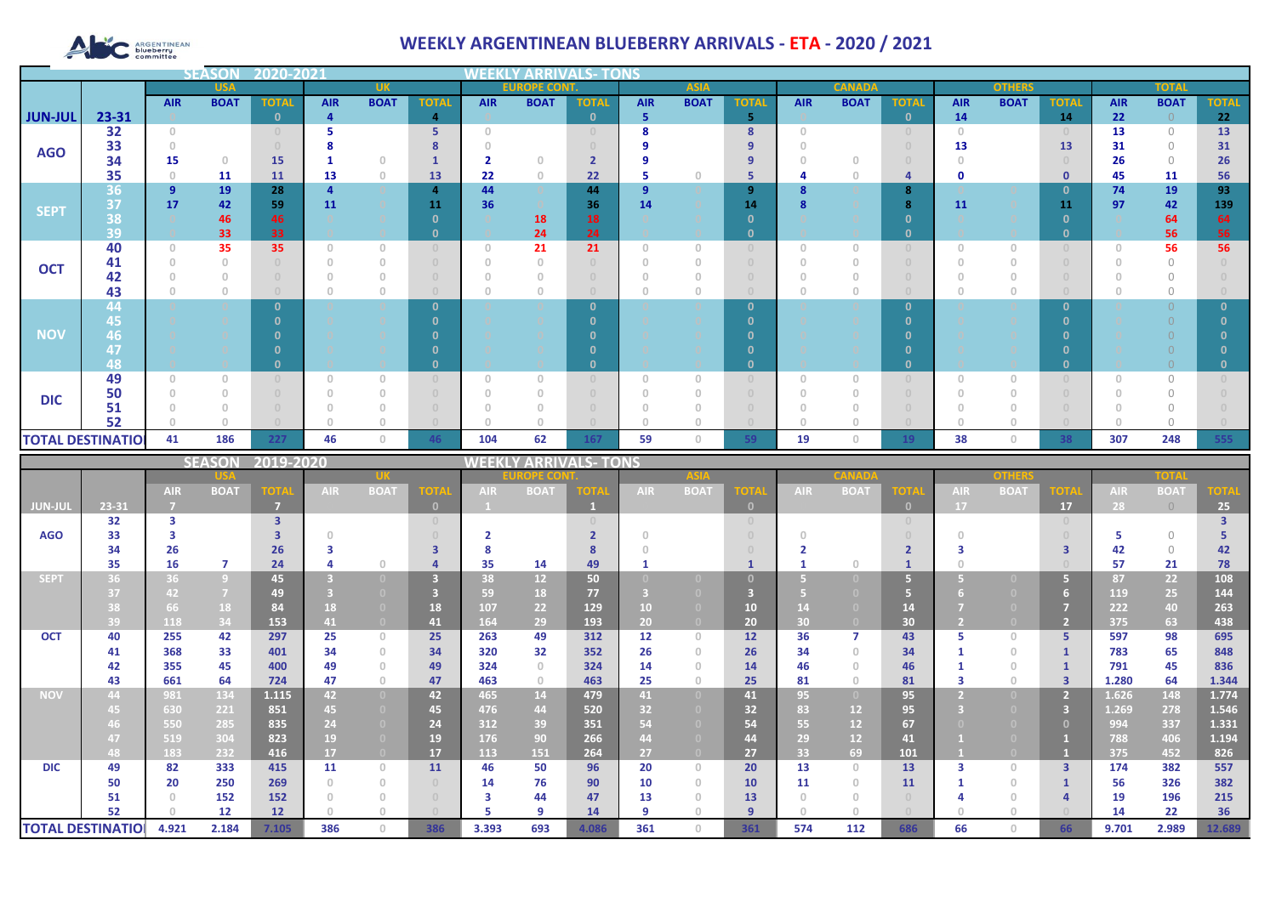# ARGENTINEAN

## **WEEKLY ARGENTINEAN BLUEBERRY ARRIVALS - ETA - 2020 / 2021**

|                          |          |                | <b>SEASOI</b> | 2020-2021    |            |                                       |                |                |                     |              |              |                                  |              |            |               |                                  |             |               |              |            |                |              |
|--------------------------|----------|----------------|---------------|--------------|------------|---------------------------------------|----------------|----------------|---------------------|--------------|--------------|----------------------------------|--------------|------------|---------------|----------------------------------|-------------|---------------|--------------|------------|----------------|--------------|
|                          |          |                | <b>USA</b>    |              |            | <b>UK</b>                             |                |                | <b>EUROPE CONT.</b> |              |              | <b>ASIA</b>                      |              |            | <b>CANADA</b> |                                  |             | <b>OTHERS</b> |              |            | <b>TOTAL</b>   |              |
|                          |          | <b>AIR</b>     | <b>BOAT</b>   | <b>TOTAL</b> | <b>AIR</b> | <b>BOAT</b>                           | <b>TOTAL</b>   | <b>AIR</b>     | <b>BOAT</b>         | <b>TOTAL</b> | <b>AIR</b>   | <b>BOAT</b>                      | <b>TOTAL</b> | <b>AIR</b> | <b>BOAT</b>   | <b>TOTAL</b>                     | <b>AIR</b>  | <b>BOAT</b>   | <b>TOTAL</b> | <b>AIR</b> | <b>BOAT</b>    | <b>TOTAL</b> |
| <b>JUN-JUL</b>           | 23-31    |                |               | $\Omega$     | 4          |                                       | $\overline{4}$ |                |                     | $\mathbf{0}$ | 5            |                                  | 5            |            |               | $\mathbf{0}$                     | 14          |               | 14           | 22         | $\overline{0}$ | 22           |
|                          | 32       | $\Omega$       |               |              |            |                                       | 5              | $\Box$         |                     |              | 8            |                                  | 8            | $\Box$     |               | $\Box$                           | $\Box$      |               |              | 13         | $\bigcirc$     | 13           |
| <b>AGO</b>               | 33       |                |               |              |            |                                       |                |                |                     |              |              |                                  | 9            |            |               |                                  | 13          |               | 13           | 31         | $\Omega$       | 31           |
|                          | 34       | 15             | $\circ$       | 15           |            | $\Omega$                              |                | $\overline{2}$ | $\Omega$            |              |              |                                  | 9            |            |               |                                  |             |               |              | 26         | $\bigcirc$     | 26           |
|                          | 35       | $\circ$        | 11            | <b>11</b>    | 13         | $\theta$                              | 13             | 22             | $\circ$             | 22           | -5           | 0                                | 5            |            |               | 4                                | $\mathbf 0$ |               | $\mathbf 0$  | 45         | 11             | 56           |
|                          | 36       | $\overline{9}$ | 19            | 28           |            |                                       | 4              | 44             |                     | 44           | $\mathbf{q}$ |                                  | 9            |            |               | 8                                |             |               | -0           | 74         | 19             | 93           |
| <b>SEPT</b>              | 37       | 17             | 42            | 59           | 11         |                                       | 11             | 36             |                     | 36           | 14           |                                  | 14           |            |               | 8                                | 11          |               | 11           | 97         | 42             | 139          |
|                          | 38       |                | 46            | 46           |            |                                       | $\Omega$       |                | 18                  | 18           |              |                                  | $\Omega$     |            |               | O                                |             |               | n            |            | 64             | 64           |
|                          | 39       |                | 33            | 33           |            |                                       | $\Omega$       |                | 24                  | 24           |              |                                  | $\mathbf{0}$ |            |               | $\mathbf{0}$                     |             |               |              |            | 56             | 56           |
| <b>OCT</b>               | 40       | 0              | 35            | 35           |            | $\circ$                               | $\Box$         | $\Omega$       | 21                  | 21           | $\circ$      | $\Omega$                         |              | $\cup$     |               | $\cup$                           | $\Box$      | $\Omega$      |              | 0.         | 56             | 56           |
|                          | 41<br>42 |                |               |              |            | $\Omega$                              | $\Box$         |                |                     |              |              |                                  |              |            |               |                                  |             |               |              |            | $\cap$         |              |
|                          | 43       |                | $\sqrt{a}$    |              |            | $\begin{array}{c} 0 \\ 0 \end{array}$ | $\circ$        |                |                     |              |              |                                  |              |            |               | $\cup$                           |             | $\circ$       |              |            | $\Omega$       |              |
|                          | 44       |                |               |              |            |                                       | $\Omega$       |                |                     | $\Omega$     |              |                                  | $\mathbf{0}$ |            |               | $\mathbf{0}$                     |             |               |              |            | $\cap$         |              |
|                          | 45       |                |               |              |            |                                       |                |                |                     |              |              |                                  | n            |            |               | $\Omega$                         |             |               |              |            |                |              |
| <b>NOV</b>               | 46       |                |               |              |            |                                       |                |                |                     |              |              |                                  | n            |            |               |                                  |             |               |              |            |                |              |
|                          | 47       |                |               |              |            |                                       |                |                |                     |              |              |                                  | n            |            |               |                                  |             |               |              |            |                |              |
|                          | 48       |                |               |              |            |                                       |                |                |                     |              |              |                                  | $\Omega$     |            |               | $\Omega$                         |             |               |              |            |                |              |
|                          | 49       | n              | $\Box$        |              |            | $\Omega$                              | $\cup$         | $\Box$         | $\cap$              |              | $\cap$       | n                                |              |            |               | $\begin{array}{c} 0 \end{array}$ |             | O             |              |            | $\bigcap$      |              |
|                          | 50       |                |               |              |            | 0                                     | $\Box$         |                |                     |              |              |                                  |              |            |               | $\Omega$                         |             |               |              |            |                |              |
| <b>DIC</b>               | 51       |                |               |              |            | $\cap$                                |                |                |                     |              |              |                                  |              |            |               |                                  |             |               |              |            | $\cap$         |              |
|                          | 52       |                |               |              |            | $\cap$                                |                |                |                     |              | $\cap$       |                                  |              |            |               | $\Box$                           |             | O             |              |            |                |              |
| <b>TOTAL DESTINATION</b> |          | 41             | 186           | 227          | 46         | $\circ$                               | 46             | 104            | 62                  | 167          | 59           | $\begin{array}{c} 0 \end{array}$ | 59           | 19         | 0.            | 19                               | 38          | $\mathbf{0}$  | 38           | 307        | 248            | 555          |
|                          |          |                |               |              |            |                                       |                |                |                     |              |              |                                  |              |            |               |                                  |             |               |              |            |                |              |

|                          |       |            | <b>SEASON</b>  | 2019-2020      |            |                                       |              | <b>/ ARRIVALS- TONS</b> |                 |             |            |                |             |            |                   |                 |            |             |                |            |             |             |
|--------------------------|-------|------------|----------------|----------------|------------|---------------------------------------|--------------|-------------------------|-----------------|-------------|------------|----------------|-------------|------------|-------------------|-----------------|------------|-------------|----------------|------------|-------------|-------------|
|                          |       |            |                |                |            |                                       |              | OPE CO                  |                 |             |            |                |             |            |                   |                 |            |             |                | TOTA       |             |             |
|                          |       | <b>AIR</b> | <b>BOAT</b>    | <b>TOTAI</b>   | <b>AIR</b> | <b>BOAT</b>                           | <b>TOTA</b>  | <b>AIR</b>              | <b>BOAT</b>     | <b>TOTA</b> | <b>AIR</b> | <b>BOAT</b>    | <b>TOTA</b> | <b>AIR</b> | <b>BOAT</b>       | <b>TOTA</b>     | <b>AIR</b> | <b>BOAT</b> | <b>TOTA</b>    | <b>AIR</b> | <b>BOAT</b> | <b>TOTA</b> |
| <b>JUN-JUL</b>           | 23-31 |            |                | $\overline{7}$ |            |                                       | $\mathbf{0}$ |                         |                 |             |            |                | $\Omega$    |            |                   | $\mathbf{0}$    | 17         |             | 17             | 28         | $\bigcirc$  | 25          |
|                          | 32    | 3          |                | 3              |            |                                       |              |                         |                 |             |            |                |             |            |                   |                 |            |             |                |            |             |             |
| <b>AGO</b>               | 33    |            |                |                |            |                                       |              |                         |                 |             |            |                |             |            |                   |                 |            |             |                |            | $\bigcap$   |             |
|                          | 34    | 26         |                | 26             |            |                                       | ₹            |                         |                 |             |            |                |             |            |                   |                 |            |             |                | 42         | $\Omega$    | 42          |
|                          | 35    | 16         | 7              | 24             |            | n                                     |              | 35                      | 14              | 49          |            |                |             |            |                   |                 |            |             |                | 57         | 21          | 78          |
| <b>SEPT</b>              | 36    | 36         | $\overline{9}$ | 45             |            |                                       |              | 38                      | 12 <sup>2</sup> | 50          |            |                |             |            |                   | 67              |            |             |                | 87         | 22          | 108         |
|                          | 37    | 42         | $\overline{7}$ | 49             |            |                                       |              | 59                      | 18              | 77          |            |                |             |            |                   | 5.              |            |             |                | 119        | 25          | 144         |
|                          | 38    | 66         | 18             | 84             | 18         | (0)                                   | 18           | 107                     | 22              | 129         | 10         | (0)            | 10          |            |                   | 14              |            |             |                | 222        | 40          | 263         |
|                          | 39    | 118        | 34             | 153            | 41         | $\Box$                                | 41           | 164                     | 29              | 193         | 20         | $\overline{0}$ | 20          | 30         |                   | 30 <sup>°</sup> |            |             | $\overline{2}$ | 375        | 63          | 438         |
| <b>OCT</b>               | 40    | 255        | 42             | 297            | 25         | $\circ$                               | 25           | 263                     | 49              | 312         | 12         | $\Omega$       | 12          | 36         |                   | 43              |            | $\Box$      |                | 597        | 98          | 695         |
|                          | 41    | 368        | 33             | 401            | 34         | $\circ$                               | 34           | 320                     | 32              | 352         | 26         | $\Box$         | 26          | 34         | O.                | 34              |            | $\Omega$    |                | 783        | 65          | 848         |
|                          | 42    | 355        | 45             | 400            | 49         | $\Omega$                              | 49           | 324                     | $\Omega$        | 324         | 14         |                | 14          | 46         |                   | 46              |            | $\Box$      |                | 791        | 45          | 836         |
|                          | 43    | 661        | 64             | 724            | 47         | $\begin{array}{c} 0 \\ 0 \end{array}$ | 47           | 463                     | $\circ$         | 463         | 25         | $\Box$         | 25          | 81         |                   | 81              |            | $\Omega$    | २              | 1.280      | 64          | 1.344       |
| <b>NOV</b>               | 44    | 981        | 134            | 1.115          | 42         | $\overline{0}$                        | 42           | 465                     | 14              | 479         | 41         | $\overline{0}$ | 41          | 95         | $\left( 0\right)$ | 95              |            | - 0 -       |                | 1.626      | 148         | 1.774       |
|                          | 45    | 630        | 221            | 851            | 45         | $\Box$                                | 45           | 476                     | 44              | 520         | 32         |                | 32          | 83         | 12                | 95              |            |             | 3              | 1.269      | 278         | 1.546       |
|                          | 46.   | 550        | 285            | 835            | 24         | $\Box$                                | 24           | 312                     | 39              | 351         | 54         |                | 54          | 55         | 12                | 67              |            |             |                | 994        | 337         | 1.331       |
|                          | 47    | 519        | 304            | 823            | 19         |                                       | 19           | 176                     | 90              | 266         | 44         |                | 44          | 29         | 12 <sup>2</sup>   | 41              |            |             |                | 788        | 406         | 1.194       |
|                          | 48    | 183        | 232            | 416            | 17         | $\Box$                                | 17           | 113                     | 151             | 264         | 27         | $\overline{0}$ | 27          | 33         | 69                | 101             |            |             |                | 375        | 452         | 826         |
| <b>DIC</b>               | 49    | 82         | 333            | 415            | 11         | $\circ$                               | 11           | 46                      | 50              | 96          | 20         | $\Omega$       | 20          | 13         | 0.                | 13              |            | $\Omega$    | 3              | 174        | 382         | 557         |
|                          | 50    | 20         | 250            | 269            |            | $\Omega$                              |              | 14                      | 76              | 90          | 10         | $\Box$         | 10          | 11         |                   | 11              |            | $\Box$      |                | 56         | 326         | 382         |
|                          | 51    |            | 152            | 152            |            | $\begin{array}{c} 0 \\ 0 \end{array}$ |              | 3                       | 44              | 47          | 13         |                | 13          |            |                   |                 |            |             |                | 19         | 196         | 215         |
|                          | 52    |            | 12             | 12             |            |                                       |              |                         | q               | 14          | -9         |                | 9           |            |                   |                 |            |             |                | 14         | 22          | 36          |
| <b>TOTAL DESTINATIOL</b> |       | 4.921      | 2.184          | 7.105          | 386        | $\Omega$                              | 386          | 3.393                   | 693             | 4.086       | 361        | O              | 361         | 574        | 112               | 686             | 66         |             | 66             | 9.701      | 2.989       | 12.689      |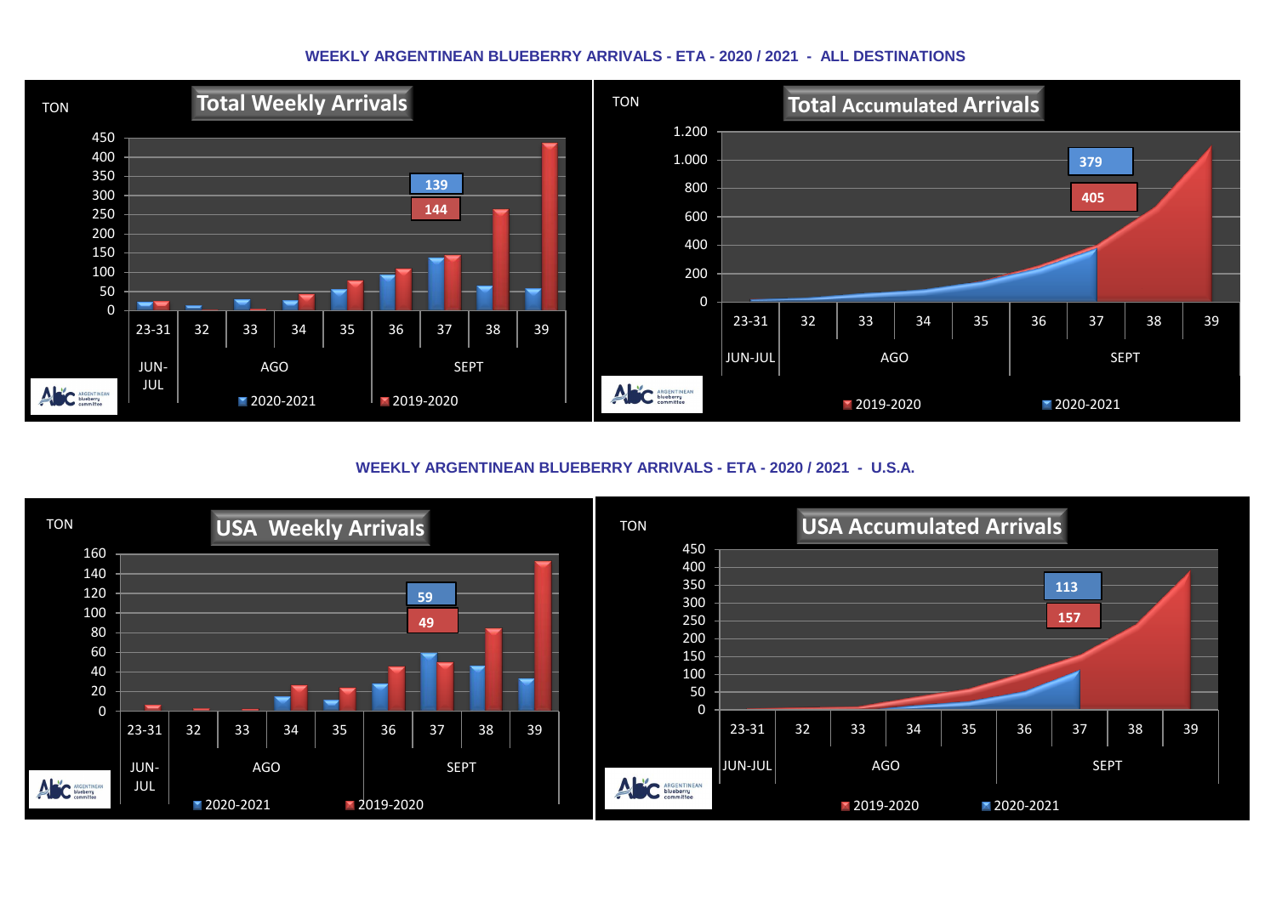#### **WEEKLY ARGENTINEAN BLUEBERRY ARRIVALS - ETA - 2020 / 2021 - ALL DESTINATIONS**



**WEEKLY ARGENTINEAN BLUEBERRY ARRIVALS - ETA - 2020 / 2021 - U.S.A.**

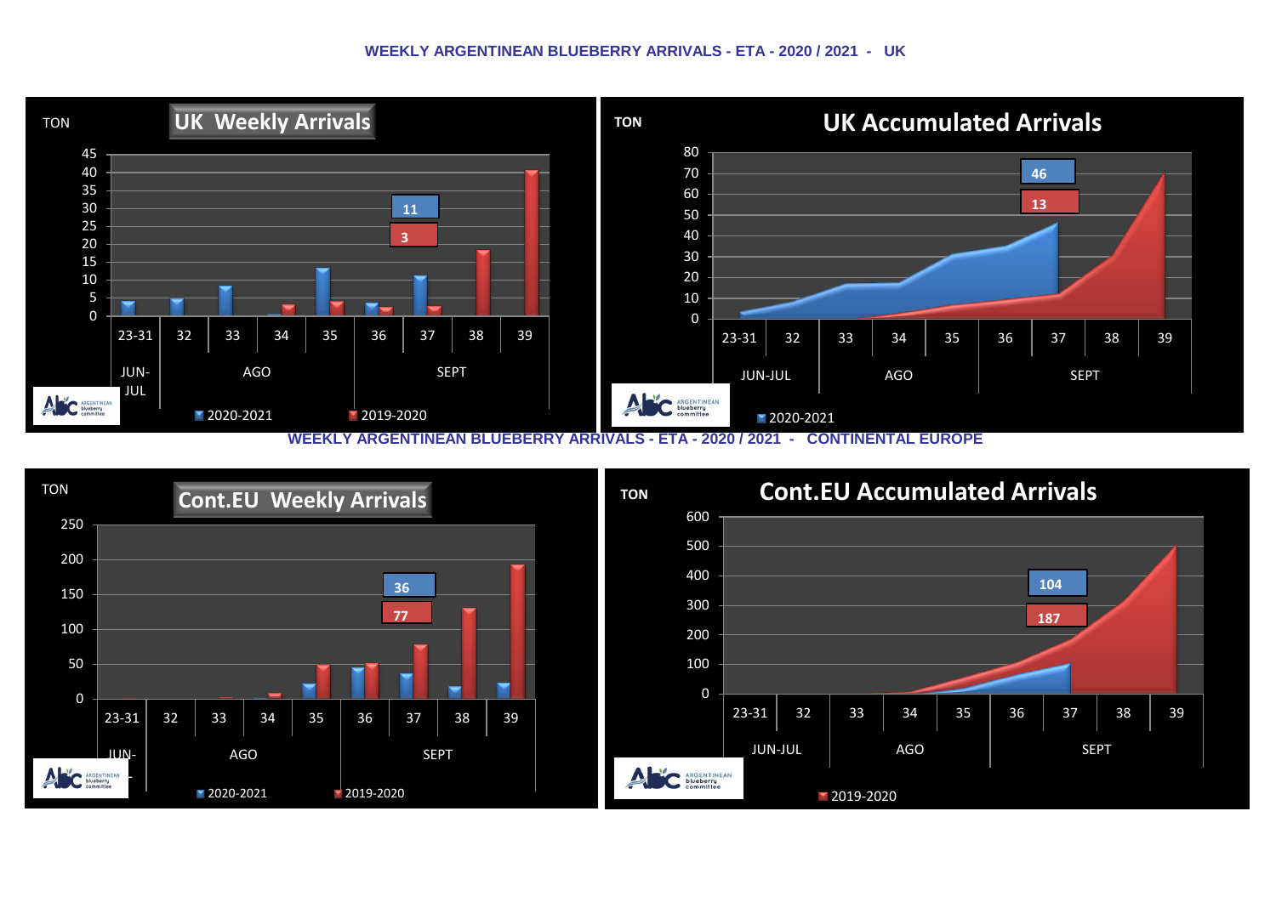#### **WEEKLY ARGENTINEAN BLUEBERRY ARRIVALS - ETA - 2020 / 2021 - UK**



**WEEKLY ARGENTINEAN BLUEBERRY ARRIVALS - ETA - 2020 / 2021 - CONTINENTAL EUROPE**